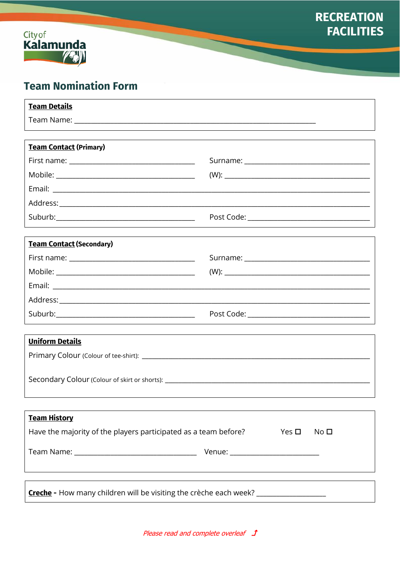



# **Team Nomination Form**

| <b>Team Details</b>                                                               |                                  |  |  |  |  |
|-----------------------------------------------------------------------------------|----------------------------------|--|--|--|--|
|                                                                                   |                                  |  |  |  |  |
|                                                                                   |                                  |  |  |  |  |
| <b>Team Contact (Primary)</b>                                                     |                                  |  |  |  |  |
|                                                                                   |                                  |  |  |  |  |
|                                                                                   |                                  |  |  |  |  |
|                                                                                   |                                  |  |  |  |  |
|                                                                                   |                                  |  |  |  |  |
|                                                                                   |                                  |  |  |  |  |
|                                                                                   |                                  |  |  |  |  |
| <b>Team Contact (Secondary)</b>                                                   |                                  |  |  |  |  |
|                                                                                   |                                  |  |  |  |  |
|                                                                                   |                                  |  |  |  |  |
|                                                                                   |                                  |  |  |  |  |
|                                                                                   |                                  |  |  |  |  |
|                                                                                   |                                  |  |  |  |  |
| <b>Uniform Details</b>                                                            |                                  |  |  |  |  |
|                                                                                   |                                  |  |  |  |  |
|                                                                                   |                                  |  |  |  |  |
| Secondary Colour (Colour of skirt or shorts): ___________________________________ |                                  |  |  |  |  |
|                                                                                   |                                  |  |  |  |  |
| <b>Team History</b>                                                               |                                  |  |  |  |  |
| Have the majority of the players participated as a team before?                   | Yes $\Box$<br>No <sub>D</sub>    |  |  |  |  |
|                                                                                   | Venue: _________________________ |  |  |  |  |
|                                                                                   |                                  |  |  |  |  |
|                                                                                   |                                  |  |  |  |  |
| Creche - How many children will be visiting the crèche each week? ______________  |                                  |  |  |  |  |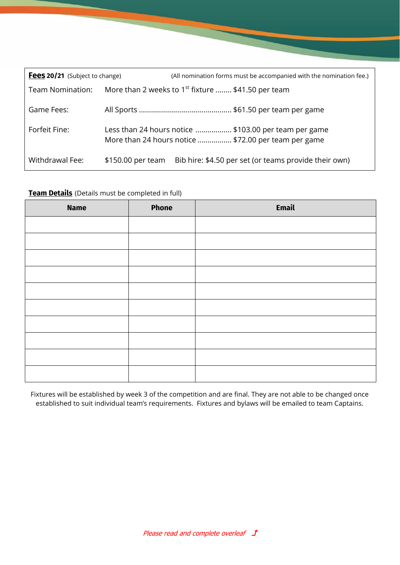| Fees 20/21 (Subject to change) |                                                                                                               | (All nomination forms must be accompanied with the nomination fee.) |  |
|--------------------------------|---------------------------------------------------------------------------------------------------------------|---------------------------------------------------------------------|--|
| Team Nomination:               | More than 2 weeks to 1 <sup>st</sup> fixture  \$41.50 per team                                                |                                                                     |  |
| Game Fees:                     |                                                                                                               |                                                                     |  |
| Forfeit Fine:                  | Less than 24 hours notice  \$103.00 per team per game<br>More than 24 hours notice  \$72.00 per team per game |                                                                     |  |
| Withdrawal Fee:                | \$150.00 per team                                                                                             | Bib hire: \$4.50 per set (or teams provide their own)               |  |

## **Team Details** (Details must be completed in full)

| <b>Name</b> | <b>Phone</b> | <b>Email</b> |
|-------------|--------------|--------------|
|             |              |              |
|             |              |              |
|             |              |              |
|             |              |              |
|             |              |              |
|             |              |              |
|             |              |              |
|             |              |              |
|             |              |              |
|             |              |              |

Fixtures will be established by week 3 of the competition and are final. They are not able to be changed once established to suit individual team's requirements. Fixtures and bylaws will be emailed to team Captains.